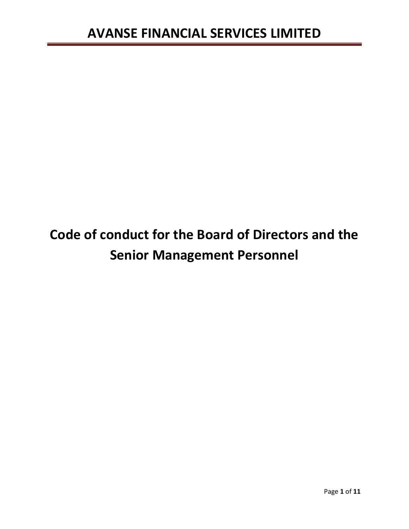# **Code of conduct for the Board of Directors and the Senior Management Personnel**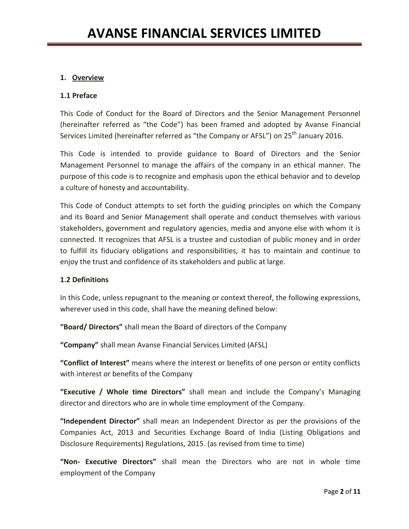# **1. Overview**

### **1.1 Preface**

This Code of Conduct for the Board of Directors and the Senior Management Personnel (hereinafter referred as "the Code") has been framed and adopted by Avanse Financial Services Limited (hereinafter referred as "the Company or AFSL") on 25<sup>th</sup> January 2016.

This Code is intended to provide guidance to Board of Directors and the Senior Management Personnel to manage the affairs of the company in an ethical manner. The purpose of this code is to recognize and emphasis upon the ethical behavior and to develop a culture of honesty and accountability.

This Code of Conduct attempts to set forth the guiding principles on which the Company and its Board and Senior Management shall operate and conduct themselves with various stakeholders, government and regulatory agencies, media and anyone else with whom it is connected. It recognizes that AFSL is a trustee and custodian of public money and in order to fulfill its fiduciary obligations and responsibilities, it has to maintain and continue to enjoy the trust and confidence of its stakeholders and public at large.

### **1.2 Definitions**

In this Code, unless repugnant to the meaning or context thereof, the following expressions, wherever used in this code, shall have the meaning defined below:

**"Board/ Directors"** shall mean the Board of directors of the Company

**"Company"** shall mean Avanse Financial Services Limited (AFSL)

**"Conflict of Interest"** means where the interest or benefits of one person or entity conflicts with interest or benefits of the Company

**"Executive / Whole time Directors"** shall mean and include the Company's Managing director and directors who are in whole time employment of the Company.

**"Independent Director"** shall mean an Independent Director as per the provisions of the Companies Act, 2013 and Securities Exchange Board of India (Listing Obligations and Disclosure Requirements) Regulations, 2015. (as revised from time to time)

**"Non- Executive Directors"** shall mean the Directors who are not in whole time employment of the Company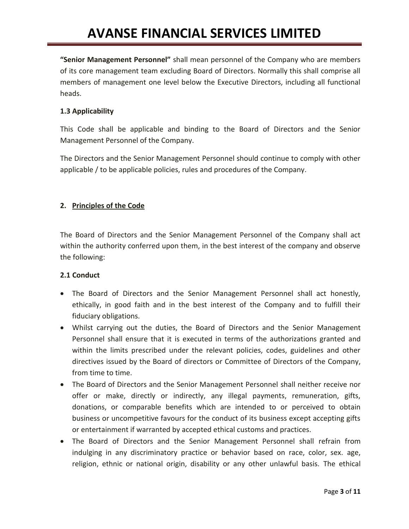**"Senior Management Personnel"** shall mean personnel of the Company who are members of its core management team excluding Board of Directors. Normally this shall comprise all members of management one level below the Executive Directors, including all functional heads.

### **1.3 Applicability**

This Code shall be applicable and binding to the Board of Directors and the Senior Management Personnel of the Company.

The Directors and the Senior Management Personnel should continue to comply with other applicable / to be applicable policies, rules and procedures of the Company.

### **2. Principles of the Code**

The Board of Directors and the Senior Management Personnel of the Company shall act within the authority conferred upon them, in the best interest of the company and observe the following:

### **2.1 Conduct**

- The Board of Directors and the Senior Management Personnel shall act honestly, ethically, in good faith and in the best interest of the Company and to fulfill their fiduciary obligations.
- Whilst carrying out the duties, the Board of Directors and the Senior Management Personnel shall ensure that it is executed in terms of the authorizations granted and within the limits prescribed under the relevant policies, codes, guidelines and other directives issued by the Board of directors or Committee of Directors of the Company, from time to time.
- The Board of Directors and the Senior Management Personnel shall neither receive nor offer or make, directly or indirectly, any illegal payments, remuneration, gifts, donations, or comparable benefits which are intended to or perceived to obtain business or uncompetitive favours for the conduct of its business except accepting gifts or entertainment if warranted by accepted ethical customs and practices.
- The Board of Directors and the Senior Management Personnel shall refrain from indulging in any discriminatory practice or behavior based on race, color, sex. age, religion, ethnic or national origin, disability or any other unlawful basis. The ethical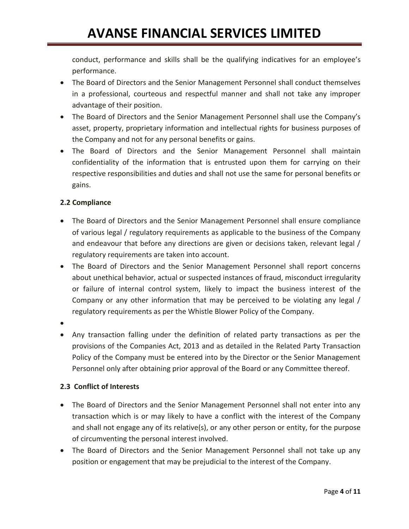conduct, performance and skills shall be the qualifying indicatives for an employee's performance.

- The Board of Directors and the Senior Management Personnel shall conduct themselves in a professional, courteous and respectful manner and shall not take any improper advantage of their position.
- The Board of Directors and the Senior Management Personnel shall use the Company's asset, property, proprietary information and intellectual rights for business purposes of the Company and not for any personal benefits or gains.
- The Board of Directors and the Senior Management Personnel shall maintain confidentiality of the information that is entrusted upon them for carrying on their respective responsibilities and duties and shall not use the same for personal benefits or gains.

# **2.2 Compliance**

- The Board of Directors and the Senior Management Personnel shall ensure compliance of various legal / regulatory requirements as applicable to the business of the Company and endeavour that before any directions are given or decisions taken, relevant legal / regulatory requirements are taken into account.
- The Board of Directors and the Senior Management Personnel shall report concerns about unethical behavior, actual or suspected instances of fraud, misconduct irregularity or failure of internal control system, likely to impact the business interest of the Company or any other information that may be perceived to be violating any legal / regulatory requirements as per the Whistle Blower Policy of the Company.
- $\bullet$
- Any transaction falling under the definition of related party transactions as per the provisions of the Companies Act, 2013 and as detailed in the Related Party Transaction Policy of the Company must be entered into by the Director or the Senior Management Personnel only after obtaining prior approval of the Board or any Committee thereof.

# **2.3 Conflict of Interests**

- The Board of Directors and the Senior Management Personnel shall not enter into any transaction which is or may likely to have a conflict with the interest of the Company and shall not engage any of its relative(s), or any other person or entity, for the purpose of circumventing the personal interest involved.
- The Board of Directors and the Senior Management Personnel shall not take up any position or engagement that may be prejudicial to the interest of the Company.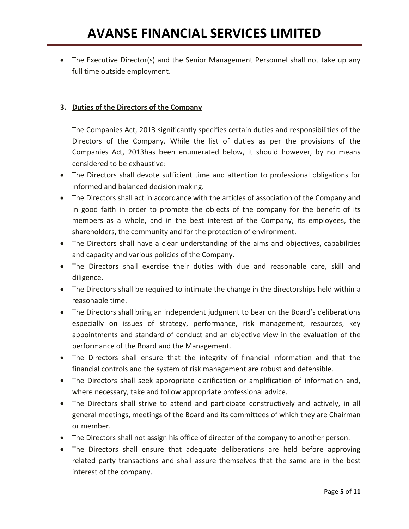• The Executive Director(s) and the Senior Management Personnel shall not take up any full time outside employment.

### **3. Duties of the Directors of the Company**

The Companies Act, 2013 significantly specifies certain duties and responsibilities of the Directors of the Company. While the list of duties as per the provisions of the Companies Act, 2013has been enumerated below, it should however, by no means considered to be exhaustive:

- The Directors shall devote sufficient time and attention to professional obligations for informed and balanced decision making.
- The Directors shall act in accordance with the articles of association of the Company and in good faith in order to promote the objects of the company for the benefit of its members as a whole, and in the best interest of the Company, its employees, the shareholders, the community and for the protection of environment.
- The Directors shall have a clear understanding of the aims and objectives, capabilities and capacity and various policies of the Company.
- The Directors shall exercise their duties with due and reasonable care, skill and diligence.
- The Directors shall be required to intimate the change in the directorships held within a reasonable time.
- The Directors shall bring an independent judgment to bear on the Board's deliberations especially on issues of strategy, performance, risk management, resources, key appointments and standard of conduct and an objective view in the evaluation of the performance of the Board and the Management.
- The Directors shall ensure that the integrity of financial information and that the financial controls and the system of risk management are robust and defensible.
- The Directors shall seek appropriate clarification or amplification of information and, where necessary, take and follow appropriate professional advice.
- The Directors shall strive to attend and participate constructively and actively, in all general meetings, meetings of the Board and its committees of which they are Chairman or member.
- The Directors shall not assign his office of director of the company to another person.
- The Directors shall ensure that adequate deliberations are held before approving related party transactions and shall assure themselves that the same are in the best interest of the company.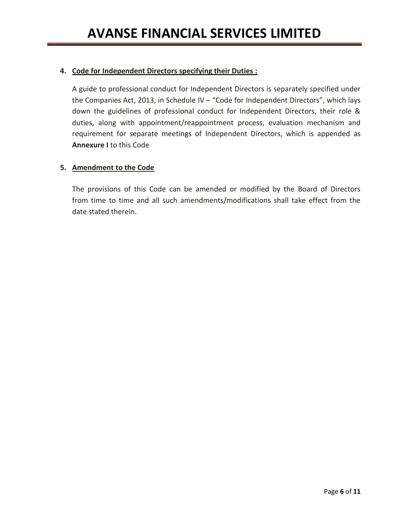### **4. Code for Independent Directors specifying their Duties :**

A guide to professional conduct for Independent Directors is separately specified under the Companies Act, 2013, in Schedule IV - "Code for Independent Directors", which lays down the guidelines of professional conduct for Independent Directors, their role & duties, along with appointment/reappointment process, evaluation mechanism and requirement for separate meetings of Independent Directors, which is appended as **Annexure I** to this Code

### **5. Amendment to the Code**

The provisions of this Code can be amended or modified by the Board of Directors from time to time and all such amendments/modifications shall take effect from the date stated therein.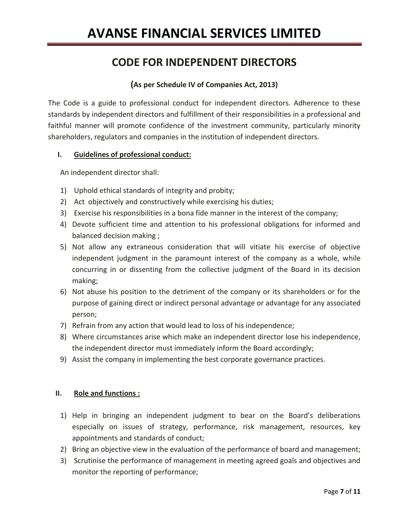# **CODE FOR INDEPENDENT DIRECTORS**

# **(As per Schedule IV of Companies Act, 2013)**

The Code is a guide to professional conduct for independent directors. Adherence to these standards by independent directors and fulfillment of their responsibilities in a professional and faithful manner will promote confidence of the investment community, particularly minority shareholders, regulators and companies in the institution of independent directors.

### **I. Guidelines of professional conduct:**

An independent director shall:

- 1) Uphold ethical standards of integrity and probity;
- 2) Act objectively and constructively while exercising his duties;
- 3) Exercise his responsibilities in a bona fide manner in the interest of the company;
- 4) Devote sufficient time and attention to his professional obligations for informed and balanced decision making ;
- 5) Not allow any extraneous consideration that will vitiate his exercise of objective independent judgment in the paramount interest of the company as a whole, while concurring in or dissenting from the collective judgment of the Board in its decision making;
- 6) Not abuse his position to the detriment of the company or its shareholders or for the purpose of gaining direct or indirect personal advantage or advantage for any associated person;
- 7) Refrain from any action that would lead to loss of his independence;
- 8) Where circumstances arise which make an independent director lose his independence, the independent director must immediately inform the Board accordingly;
- 9) Assist the company in implementing the best corporate governance practices.

# **II. Role and functions :**

- 1) Help in bringing an independent judgment to bear on the Board's deliberations especially on issues of strategy, performance, risk management, resources, key appointments and standards of conduct;
- 2) Bring an objective view in the evaluation of the performance of board and management;
- 3) Scrutinise the performance of management in meeting agreed goals and objectives and monitor the reporting of performance;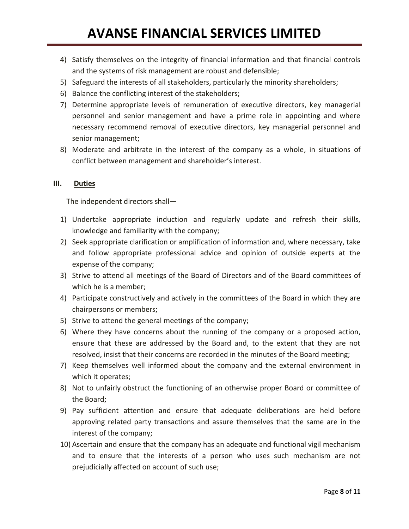- 4) Satisfy themselves on the integrity of financial information and that financial controls and the systems of risk management are robust and defensible;
- 5) Safeguard the interests of all stakeholders, particularly the minority shareholders;
- 6) Balance the conflicting interest of the stakeholders;
- 7) Determine appropriate levels of remuneration of executive directors, key managerial personnel and senior management and have a prime role in appointing and where necessary recommend removal of executive directors, key managerial personnel and senior management;
- 8) Moderate and arbitrate in the interest of the company as a whole, in situations of conflict between management and shareholder's interest.

### **III. Duties**

The independent directors shall—

- 1) Undertake appropriate induction and regularly update and refresh their skills, knowledge and familiarity with the company;
- 2) Seek appropriate clarification or amplification of information and, where necessary, take and follow appropriate professional advice and opinion of outside experts at the expense of the company;
- 3) Strive to attend all meetings of the Board of Directors and of the Board committees of which he is a member;
- 4) Participate constructively and actively in the committees of the Board in which they are chairpersons or members;
- 5) Strive to attend the general meetings of the company;
- 6) Where they have concerns about the running of the company or a proposed action, ensure that these are addressed by the Board and, to the extent that they are not resolved, insist that their concerns are recorded in the minutes of the Board meeting;
- 7) Keep themselves well informed about the company and the external environment in which it operates;
- 8) Not to unfairly obstruct the functioning of an otherwise proper Board or committee of the Board;
- 9) Pay sufficient attention and ensure that adequate deliberations are held before approving related party transactions and assure themselves that the same are in the interest of the company;
- 10) Ascertain and ensure that the company has an adequate and functional vigil mechanism and to ensure that the interests of a person who uses such mechanism are not prejudicially affected on account of such use;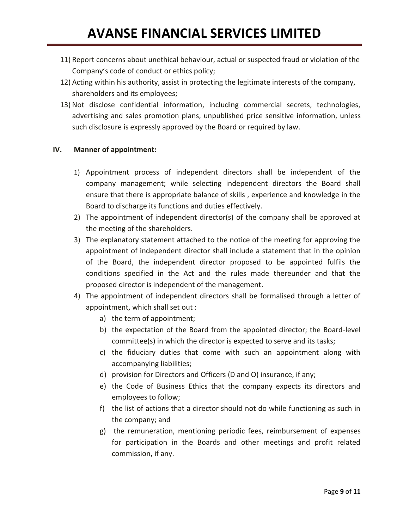- 11) Report concerns about unethical behaviour, actual or suspected fraud or violation of the Company's code of conduct or ethics policy;
- 12) Acting within his authority, assist in protecting the legitimate interests of the company, shareholders and its employees;
- 13) Not disclose confidential information, including commercial secrets, technologies, advertising and sales promotion plans, unpublished price sensitive information, unless such disclosure is expressly approved by the Board or required by law.

### **IV. Manner of appointment:**

- 1) Appointment process of independent directors shall be independent of the company management; while selecting independent directors the Board shall ensure that there is appropriate balance of skills , experience and knowledge in the Board to discharge its functions and duties effectively.
- 2) The appointment of independent director(s) of the company shall be approved at the meeting of the shareholders.
- 3) The explanatory statement attached to the notice of the meeting for approving the appointment of independent director shall include a statement that in the opinion of the Board, the independent director proposed to be appointed fulfils the conditions specified in the Act and the rules made thereunder and that the proposed director is independent of the management.
- 4) The appointment of independent directors shall be formalised through a letter of appointment, which shall set out :
	- a) the term of appointment;
	- b) the expectation of the Board from the appointed director; the Board-level committee(s) in which the director is expected to serve and its tasks;
	- c) the fiduciary duties that come with such an appointment along with accompanying liabilities;
	- d) provision for Directors and Officers (D and O) insurance, if any;
	- e) the Code of Business Ethics that the company expects its directors and employees to follow;
	- f) the list of actions that a director should not do while functioning as such in the company; and
	- g) the remuneration, mentioning periodic fees, reimbursement of expenses for participation in the Boards and other meetings and profit related commission, if any.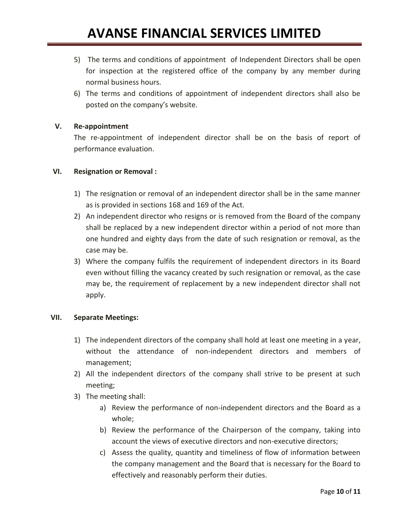- 5) The terms and conditions of appointment of Independent Directors shall be open for inspection at the registered office of the company by any member during normal business hours.
- 6) The terms and conditions of appointment of independent directors shall also be posted on the company's website.

### **V. Re-appointment**

The re-appointment of independent director shall be on the basis of report of performance evaluation.

### **VI. Resignation or Removal :**

- 1) The resignation or removal of an independent director shall be in the same manner as is provided in sections 168 and 169 of the Act.
- 2) An independent director who resigns or is removed from the Board of the company shall be replaced by a new independent director within a period of not more than one hundred and eighty days from the date of such resignation or removal, as the case may be.
- 3) Where the company fulfils the requirement of independent directors in its Board even without filling the vacancy created by such resignation or removal, as the case may be, the requirement of replacement by a new independent director shall not apply.

### **VII. Separate Meetings:**

- 1) The independent directors of the company shall hold at least one meeting in a year, without the attendance of non-independent directors and members of management;
- 2) All the independent directors of the company shall strive to be present at such meeting;
- 3) The meeting shall:
	- a) Review the performance of non-independent directors and the Board as a whole;
	- b) Review the performance of the Chairperson of the company, taking into account the views of executive directors and non-executive directors;
	- c) Assess the quality, quantity and timeliness of flow of information between the company management and the Board that is necessary for the Board to effectively and reasonably perform their duties.